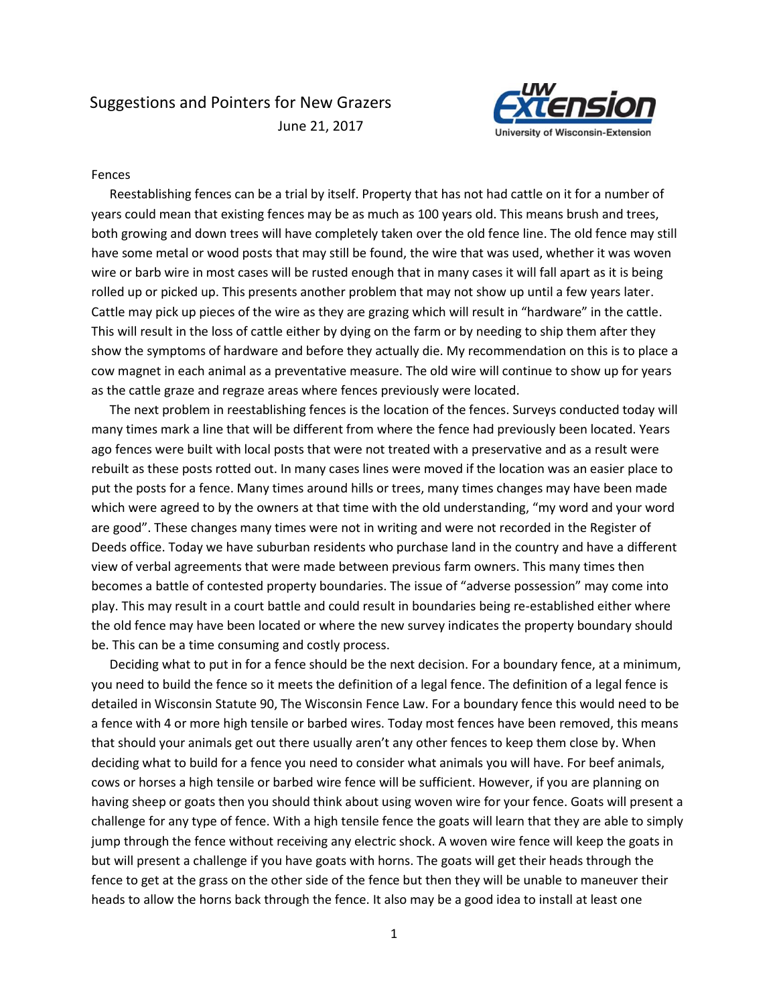

# Fences

Reestablishing fences can be a trial by itself. Property that has not had cattle on it for a number of years could mean that existing fences may be as much as 100 years old. This means brush and trees, both growing and down trees will have completely taken over the old fence line. The old fence may still have some metal or wood posts that may still be found, the wire that was used, whether it was woven wire or barb wire in most cases will be rusted enough that in many cases it will fall apart as it is being rolled up or picked up. This presents another problem that may not show up until a few years later. Cattle may pick up pieces of the wire as they are grazing which will result in "hardware" in the cattle. This will result in the loss of cattle either by dying on the farm or by needing to ship them after they show the symptoms of hardware and before they actually die. My recommendation on this is to place a cow magnet in each animal as a preventative measure. The old wire will continue to show up for years as the cattle graze and regraze areas where fences previously were located.

The next problem in reestablishing fences is the location of the fences. Surveys conducted today will many times mark a line that will be different from where the fence had previously been located. Years ago fences were built with local posts that were not treated with a preservative and as a result were rebuilt as these posts rotted out. In many cases lines were moved if the location was an easier place to put the posts for a fence. Many times around hills or trees, many times changes may have been made which were agreed to by the owners at that time with the old understanding, "my word and your word are good". These changes many times were not in writing and were not recorded in the Register of Deeds office. Today we have suburban residents who purchase land in the country and have a different view of verbal agreements that were made between previous farm owners. This many times then becomes a battle of contested property boundaries. The issue of "adverse possession" may come into play. This may result in a court battle and could result in boundaries being re-established either where the old fence may have been located or where the new survey indicates the property boundary should be. This can be a time consuming and costly process.

Deciding what to put in for a fence should be the next decision. For a boundary fence, at a minimum, you need to build the fence so it meets the definition of a legal fence. The definition of a legal fence is detailed in Wisconsin Statute 90, The Wisconsin Fence Law. For a boundary fence this would need to be a fence with 4 or more high tensile or barbed wires. Today most fences have been removed, this means that should your animals get out there usually aren't any other fences to keep them close by. When deciding what to build for a fence you need to consider what animals you will have. For beef animals, cows or horses a high tensile or barbed wire fence will be sufficient. However, if you are planning on having sheep or goats then you should think about using woven wire for your fence. Goats will present a challenge for any type of fence. With a high tensile fence the goats will learn that they are able to simply jump through the fence without receiving any electric shock. A woven wire fence will keep the goats in but will present a challenge if you have goats with horns. The goats will get their heads through the fence to get at the grass on the other side of the fence but then they will be unable to maneuver their heads to allow the horns back through the fence. It also may be a good idea to install at least one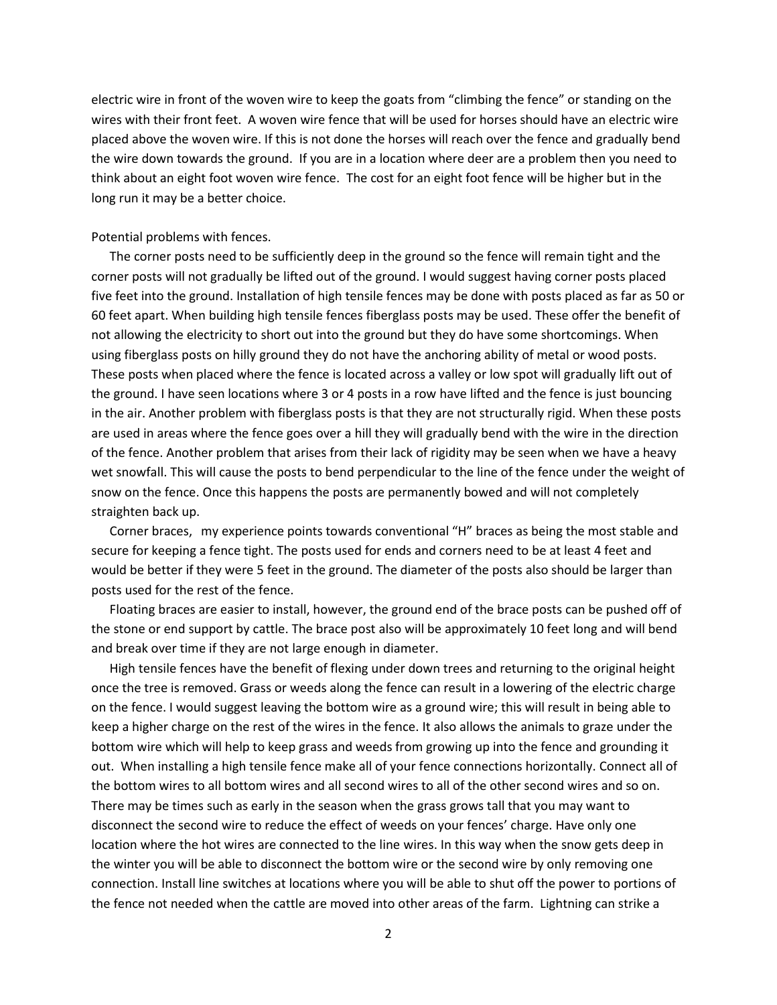electric wire in front of the woven wire to keep the goats from "climbing the fence" or standing on the wires with their front feet. A woven wire fence that will be used for horses should have an electric wire placed above the woven wire. If this is not done the horses will reach over the fence and gradually bend the wire down towards the ground. If you are in a location where deer are a problem then you need to think about an eight foot woven wire fence. The cost for an eight foot fence will be higher but in the long run it may be a better choice.

## Potential problems with fences.

The corner posts need to be sufficiently deep in the ground so the fence will remain tight and the corner posts will not gradually be lifted out of the ground. I would suggest having corner posts placed five feet into the ground. Installation of high tensile fences may be done with posts placed as far as 50 or 60 feet apart. When building high tensile fences fiberglass posts may be used. These offer the benefit of not allowing the electricity to short out into the ground but they do have some shortcomings. When using fiberglass posts on hilly ground they do not have the anchoring ability of metal or wood posts. These posts when placed where the fence is located across a valley or low spot will gradually lift out of the ground. I have seen locations where 3 or 4 posts in a row have lifted and the fence is just bouncing in the air. Another problem with fiberglass posts is that they are not structurally rigid. When these posts are used in areas where the fence goes over a hill they will gradually bend with the wire in the direction of the fence. Another problem that arises from their lack of rigidity may be seen when we have a heavy wet snowfall. This will cause the posts to bend perpendicular to the line of the fence under the weight of snow on the fence. Once this happens the posts are permanently bowed and will not completely straighten back up.

Corner braces, my experience points towards conventional "H" braces as being the most stable and secure for keeping a fence tight. The posts used for ends and corners need to be at least 4 feet and would be better if they were 5 feet in the ground. The diameter of the posts also should be larger than posts used for the rest of the fence.

Floating braces are easier to install, however, the ground end of the brace posts can be pushed off of the stone or end support by cattle. The brace post also will be approximately 10 feet long and will bend and break over time if they are not large enough in diameter.

High tensile fences have the benefit of flexing under down trees and returning to the original height once the tree is removed. Grass or weeds along the fence can result in a lowering of the electric charge on the fence. I would suggest leaving the bottom wire as a ground wire; this will result in being able to keep a higher charge on the rest of the wires in the fence. It also allows the animals to graze under the bottom wire which will help to keep grass and weeds from growing up into the fence and grounding it out. When installing a high tensile fence make all of your fence connections horizontally. Connect all of the bottom wires to all bottom wires and all second wires to all of the other second wires and so on. There may be times such as early in the season when the grass grows tall that you may want to disconnect the second wire to reduce the effect of weeds on your fences' charge. Have only one location where the hot wires are connected to the line wires. In this way when the snow gets deep in the winter you will be able to disconnect the bottom wire or the second wire by only removing one connection. Install line switches at locations where you will be able to shut off the power to portions of the fence not needed when the cattle are moved into other areas of the farm. Lightning can strike a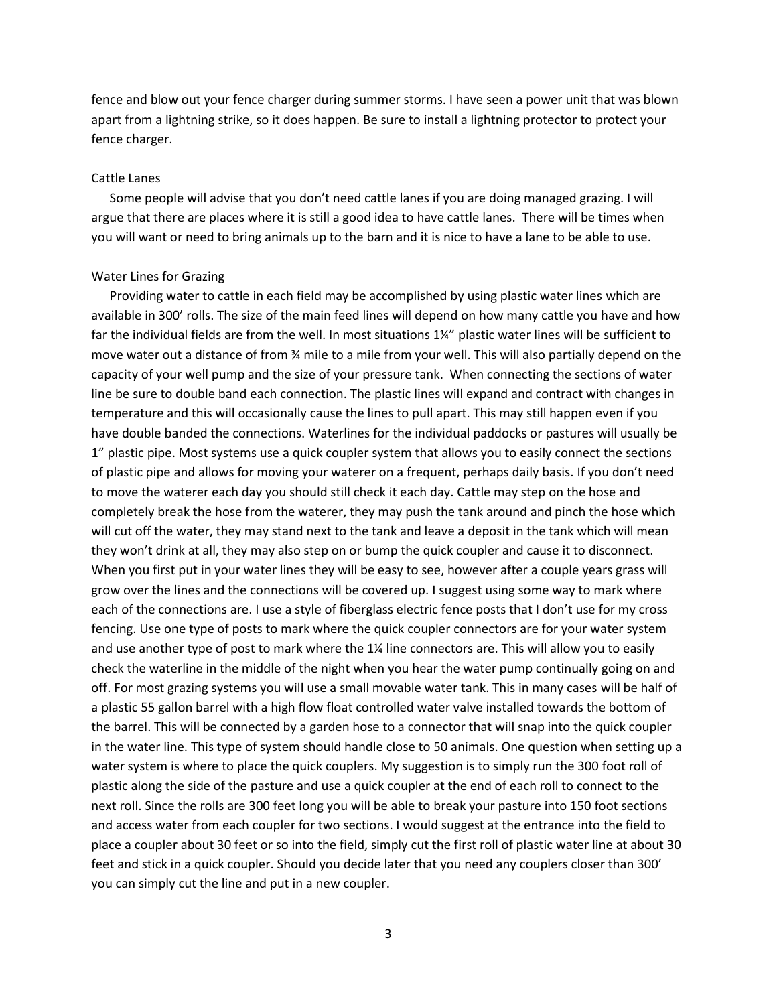fence and blow out your fence charger during summer storms. I have seen a power unit that was blown apart from a lightning strike, so it does happen. Be sure to install a lightning protector to protect your fence charger.

## Cattle Lanes

Some people will advise that you don't need cattle lanes if you are doing managed grazing. I will argue that there are places where it is still a good idea to have cattle lanes. There will be times when you will want or need to bring animals up to the barn and it is nice to have a lane to be able to use.

#### Water Lines for Grazing

Providing water to cattle in each field may be accomplished by using plastic water lines which are available in 300' rolls. The size of the main feed lines will depend on how many cattle you have and how far the individual fields are from the well. In most situations 1¼" plastic water lines will be sufficient to move water out a distance of from ¾ mile to a mile from your well. This will also partially depend on the capacity of your well pump and the size of your pressure tank. When connecting the sections of water line be sure to double band each connection. The plastic lines will expand and contract with changes in temperature and this will occasionally cause the lines to pull apart. This may still happen even if you have double banded the connections. Waterlines for the individual paddocks or pastures will usually be 1" plastic pipe. Most systems use a quick coupler system that allows you to easily connect the sections of plastic pipe and allows for moving your waterer on a frequent, perhaps daily basis. If you don't need to move the waterer each day you should still check it each day. Cattle may step on the hose and completely break the hose from the waterer, they may push the tank around and pinch the hose which will cut off the water, they may stand next to the tank and leave a deposit in the tank which will mean they won't drink at all, they may also step on or bump the quick coupler and cause it to disconnect. When you first put in your water lines they will be easy to see, however after a couple years grass will grow over the lines and the connections will be covered up. I suggest using some way to mark where each of the connections are. I use a style of fiberglass electric fence posts that I don't use for my cross fencing. Use one type of posts to mark where the quick coupler connectors are for your water system and use another type of post to mark where the 1¼ line connectors are. This will allow you to easily check the waterline in the middle of the night when you hear the water pump continually going on and off. For most grazing systems you will use a small movable water tank. This in many cases will be half of a plastic 55 gallon barrel with a high flow float controlled water valve installed towards the bottom of the barrel. This will be connected by a garden hose to a connector that will snap into the quick coupler in the water line. This type of system should handle close to 50 animals. One question when setting up a water system is where to place the quick couplers. My suggestion is to simply run the 300 foot roll of plastic along the side of the pasture and use a quick coupler at the end of each roll to connect to the next roll. Since the rolls are 300 feet long you will be able to break your pasture into 150 foot sections and access water from each coupler for two sections. I would suggest at the entrance into the field to place a coupler about 30 feet or so into the field, simply cut the first roll of plastic water line at about 30 feet and stick in a quick coupler. Should you decide later that you need any couplers closer than 300' you can simply cut the line and put in a new coupler.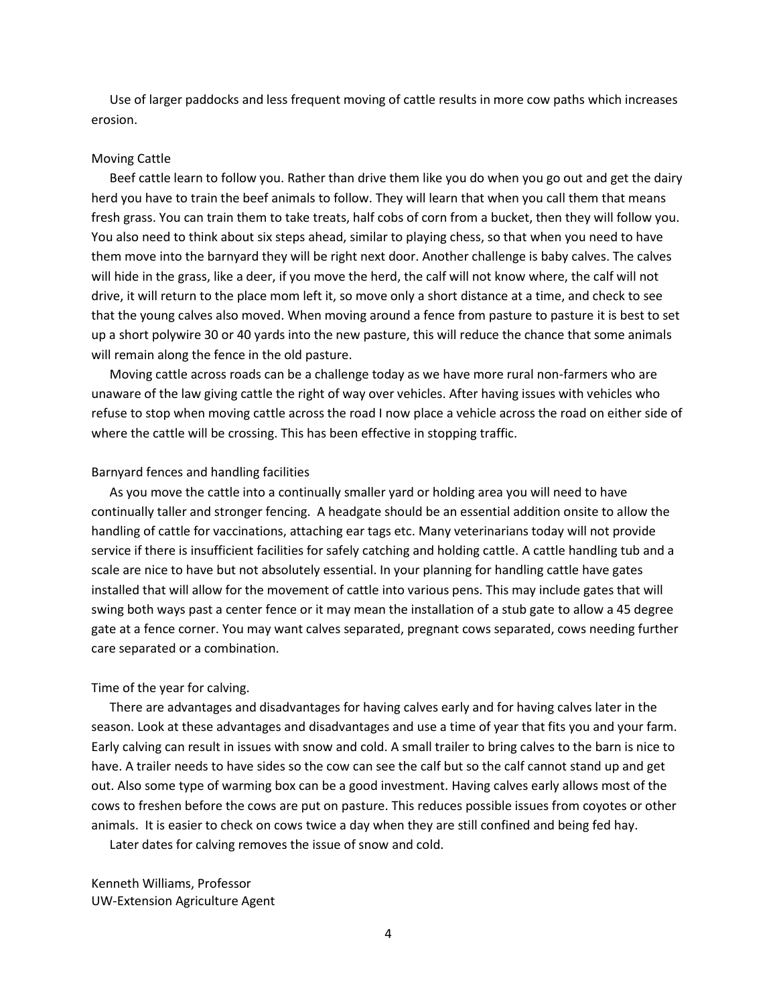Use of larger paddocks and less frequent moving of cattle results in more cow paths which increases erosion.

### Moving Cattle

Beef cattle learn to follow you. Rather than drive them like you do when you go out and get the dairy herd you have to train the beef animals to follow. They will learn that when you call them that means fresh grass. You can train them to take treats, half cobs of corn from a bucket, then they will follow you. You also need to think about six steps ahead, similar to playing chess, so that when you need to have them move into the barnyard they will be right next door. Another challenge is baby calves. The calves will hide in the grass, like a deer, if you move the herd, the calf will not know where, the calf will not drive, it will return to the place mom left it, so move only a short distance at a time, and check to see that the young calves also moved. When moving around a fence from pasture to pasture it is best to set up a short polywire 30 or 40 yards into the new pasture, this will reduce the chance that some animals will remain along the fence in the old pasture.

Moving cattle across roads can be a challenge today as we have more rural non-farmers who are unaware of the law giving cattle the right of way over vehicles. After having issues with vehicles who refuse to stop when moving cattle across the road I now place a vehicle across the road on either side of where the cattle will be crossing. This has been effective in stopping traffic.

#### Barnyard fences and handling facilities

As you move the cattle into a continually smaller yard or holding area you will need to have continually taller and stronger fencing. A headgate should be an essential addition onsite to allow the handling of cattle for vaccinations, attaching ear tags etc. Many veterinarians today will not provide service if there is insufficient facilities for safely catching and holding cattle. A cattle handling tub and a scale are nice to have but not absolutely essential. In your planning for handling cattle have gates installed that will allow for the movement of cattle into various pens. This may include gates that will swing both ways past a center fence or it may mean the installation of a stub gate to allow a 45 degree gate at a fence corner. You may want calves separated, pregnant cows separated, cows needing further care separated or a combination.

#### Time of the year for calving.

There are advantages and disadvantages for having calves early and for having calves later in the season. Look at these advantages and disadvantages and use a time of year that fits you and your farm. Early calving can result in issues with snow and cold. A small trailer to bring calves to the barn is nice to have. A trailer needs to have sides so the cow can see the calf but so the calf cannot stand up and get out. Also some type of warming box can be a good investment. Having calves early allows most of the cows to freshen before the cows are put on pasture. This reduces possible issues from coyotes or other animals. It is easier to check on cows twice a day when they are still confined and being fed hay.

Later dates for calving removes the issue of snow and cold.

Kenneth Williams, Professor UW-Extension Agriculture Agent